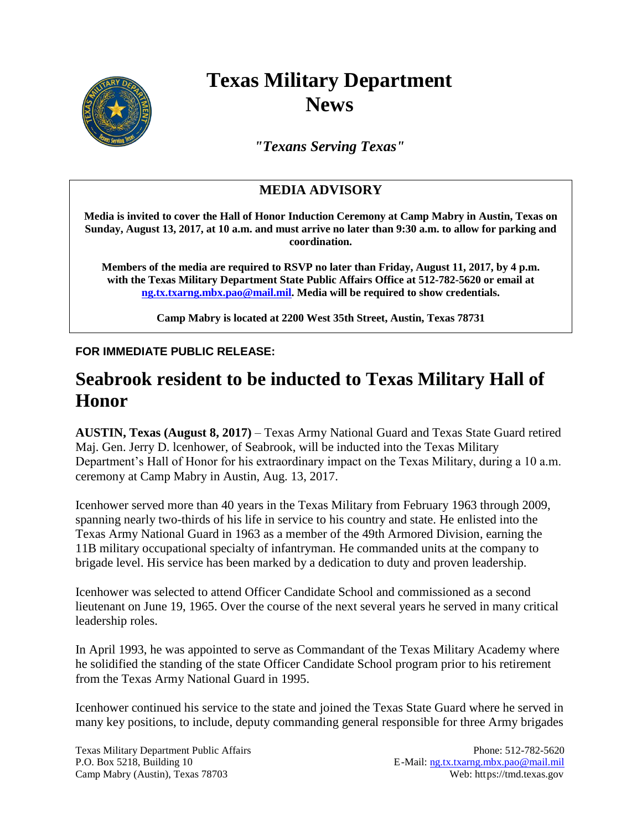

## **Texas Military Department News**

*"Texans Serving Texas"*

## **MEDIA ADVISORY**

**Media is invited to cover the Hall of Honor Induction Ceremony at Camp Mabry in Austin, Texas on Sunday, August 13, 2017, at 10 a.m. and must arrive no later than 9:30 a.m. to allow for parking and coordination.**

**Members of the media are required to RSVP no later than Friday, August 11, 2017, by 4 p.m. with the Texas Military Department State Public Affairs Office at 512-782-5620 or email at [ng.tx.txarng.mbx.pao@mail.mil.](mailto:ng.tx.txarng.mbx.pao@mail.mil) Media will be required to show credentials.**

**Camp Mabry is located at 2200 West 35th Street, Austin, Texas 78731**

## **FOR IMMEDIATE PUBLIC RELEASE:**

## **Seabrook resident to be inducted to Texas Military Hall of Honor**

**AUSTIN, Texas (August 8, 2017)** – Texas Army National Guard and Texas State Guard retired Maj. Gen. Jerry D. lcenhower, of Seabrook, will be inducted into the Texas Military Department's Hall of Honor for his extraordinary impact on the Texas Military, during a 10 a.m. ceremony at Camp Mabry in Austin, Aug. 13, 2017.

Icenhower served more than 40 years in the Texas Military from February 1963 through 2009, spanning nearly two-thirds of his life in service to his country and state. He enlisted into the Texas Army National Guard in 1963 as a member of the 49th Armored Division, earning the 11B military occupational specialty of infantryman. He commanded units at the company to brigade level. His service has been marked by a dedication to duty and proven leadership.

Icenhower was selected to attend Officer Candidate School and commissioned as a second lieutenant on June 19, 1965. Over the course of the next several years he served in many critical leadership roles.

In April 1993, he was appointed to serve as Commandant of the Texas Military Academy where he solidified the standing of the state Officer Candidate School program prior to his retirement from the Texas Army National Guard in 1995.

Icenhower continued his service to the state and joined the Texas State Guard where he served in many key positions, to include, deputy commanding general responsible for three Army brigades